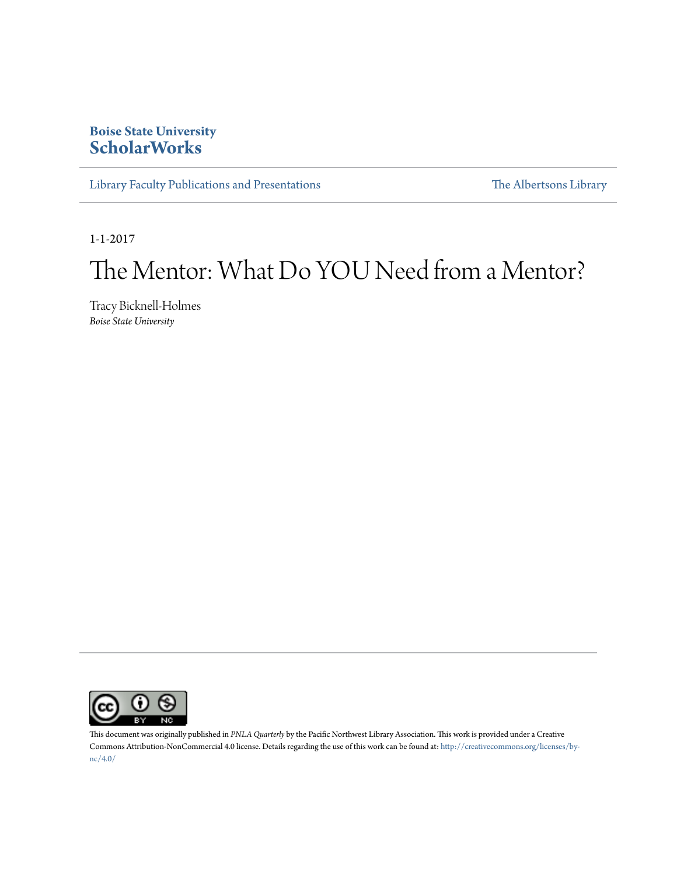## **Boise State University [ScholarWorks](https://scholarworks.boisestate.edu)**

[Library Faculty Publications and Presentations](https://scholarworks.boisestate.edu/lib_facpubs) [The Albertsons Library](https://scholarworks.boisestate.edu/library)

1-1-2017

## The Mentor: What Do YOU Need from a Mentor?

Tracy Bicknell-Holmes *Boise State University*



This document was originally published in *PNLA Quarterly* by the Pacific Northwest Library Association. This work is provided under a Creative Commons Attribution-NonCommercial 4.0 license. Details regarding the use of this work can be found at: [http://creativecommons.org/licenses/by](http://creativecommons.org/licenses/by-nc/4.0/)[nc/4.0/](http://creativecommons.org/licenses/by-nc/4.0/)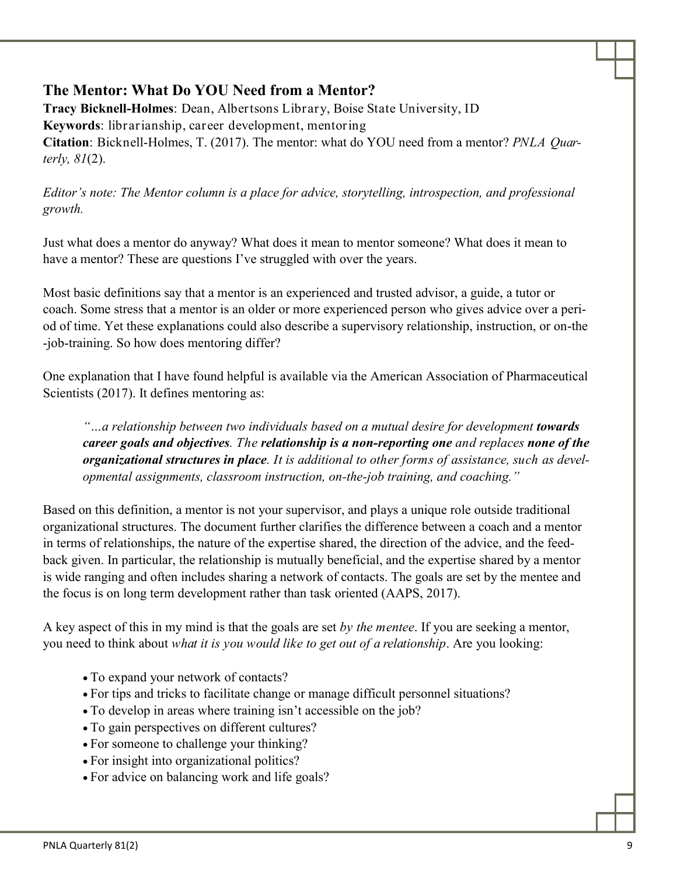## **The Mentor: What Do YOU Need from a Mentor?**

**Tracy Bicknell-Holmes**: Dean, Albertsons Library, Boise State University, ID **Keywords**: librarianship, career development, mentoring **Citation**: Bicknell-Holmes, T. (2017). The mentor: what do YOU need from a mentor? *PNLA Quarterly, 81*(2).

*Editor's note: The Mentor column is a place for advice, storytelling, introspection, and professional growth.* 

Just what does a mentor do anyway? What does it mean to mentor someone? What does it mean to have a mentor? These are questions I've struggled with over the years.

Most basic definitions say that a mentor is an experienced and trusted advisor, a guide, a tutor or coach. Some stress that a mentor is an older or more experienced person who gives advice over a period of time. Yet these explanations could also describe a supervisory relationship, instruction, or on-the -job-training. So how does mentoring differ?

One explanation that I have found helpful is available via the American Association of Pharmaceutical Scientists (2017). It defines mentoring as:

"...a relationship between two individuals based on a mutual desire for development **towards** *career goals and objectives. The relationship is a non-reporting one and replaces none of the organizational structures in place. It is additional to other forms of assistance, such as developmental assignments, classroom instruction, on-the-job training, and coaching."*

Based on this definition, a mentor is not your supervisor, and plays a unique role outside traditional organizational structures. The document further clarifies the difference between a coach and a mentor in terms of relationships, the nature of the expertise shared, the direction of the advice, and the feedback given. In particular, the relationship is mutually beneficial, and the expertise shared by a mentor is wide ranging and often includes sharing a network of contacts. The goals are set by the mentee and the focus is on long term development rather than task oriented (AAPS, 2017).

A key aspect of this in my mind is that the goals are set *by the mentee*. If you are seeking a mentor, you need to think about *what it is you would like to get out of a relationship*. Are you looking:

- To expand your network of contacts?
- For tips and tricks to facilitate change or manage difficult personnel situations?
- To develop in areas where training isn't accessible on the job?
- To gain perspectives on different cultures?
- For someone to challenge your thinking?
- For insight into organizational politics?
- For advice on balancing work and life goals?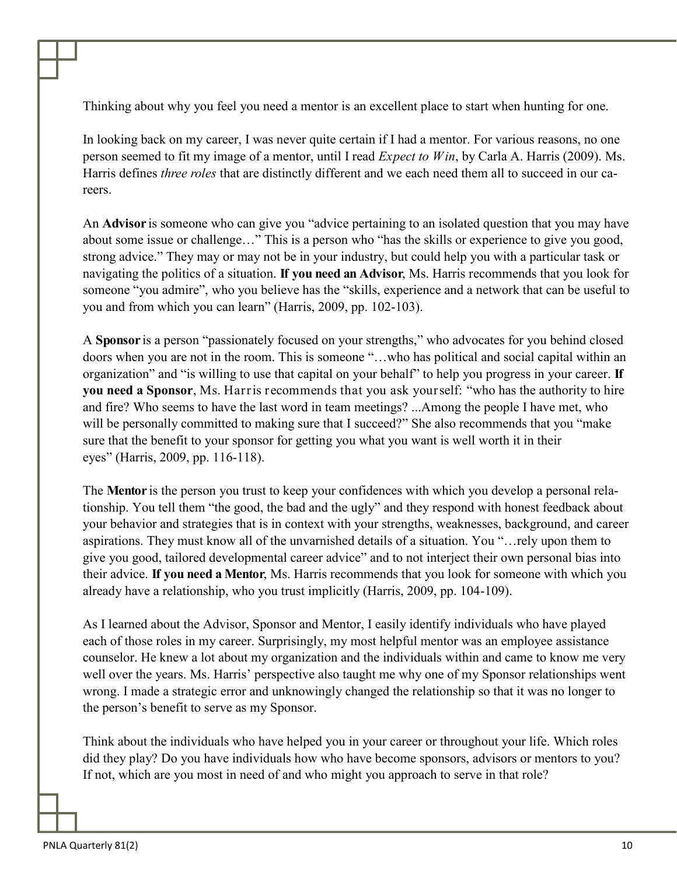Thinking about why you feel you need a mentor is an excellent place to start when hunting for one.

In looking back on my career, I was never quite certain if I had a mentor. For various reasons, no one person seemed to fit my image of a mentor, until I read *Expect to Win*, by Carla A. Harris (2009). Ms. Harris defines *three roles* that are distinctly different and we each need them all to succeed in our careers.

An **Advisor** is someone who can give you "advice pertaining to an isolated question that you may have about some issue or challenge…" This is a person who "has the skills or experience to give you good, strong advice." They may or may not be in your industry, but could help you with a particular task or navigating the politics of a situation. **If you need an Advisor**, Ms. Harris recommends that you look for someone "you admire", who you believe has the "skills, experience and a network that can be useful to you and from which you can learn" (Harris, 2009, pp. 102-103).

A **Sponsor** is a person "passionately focused on your strengths," who advocates for you behind closed doors when you are not in the room. This is someone "…who has political and social capital within an organization" and "is willing to use that capital on your behalf" to help you progress in your career. **If you need a Sponsor**, Ms. Harris recommends that you ask yourself: "who has the authority to hire and fire? Who seems to have the last word in team meetings? ...Among the people I have met, who will be personally committed to making sure that I succeed?" She also recommends that you "make sure that the benefit to your sponsor for getting you what you want is well worth it in their eyes" (Harris, 2009, pp. 116-118).

The **Mentor** is the person you trust to keep your confidences with which you develop a personal relationship. You tell them "the good, the bad and the ugly" and they respond with honest feedback about your behavior and strategies that is in context with your strengths, weaknesses, background, and career aspirations. They must know all of the unvarnished details of a situation. You "…rely upon them to give you good, tailored developmental career advice" and to not interject their own personal bias into their advice. **If you need a Mentor**, Ms. Harris recommends that you look for someone with which you already have a relationship, who you trust implicitly (Harris, 2009, pp. 104-109).

As I learned about the Advisor, Sponsor and Mentor, I easily identify individuals who have played each of those roles in my career. Surprisingly, my most helpful mentor was an employee assistance counselor. He knew a lot about my organization and the individuals within and came to know me very well over the years. Ms. Harris' perspective also taught me why one of my Sponsor relationships went wrong. I made a strategic error and unknowingly changed the relationship so that it was no longer to the person's benefit to serve as my Sponsor.

Think about the individuals who have helped you in your career or throughout your life. Which roles did they play? Do you have individuals how who have become sponsors, advisors or mentors to you? If not, which are you most in need of and who might you approach to serve in that role?